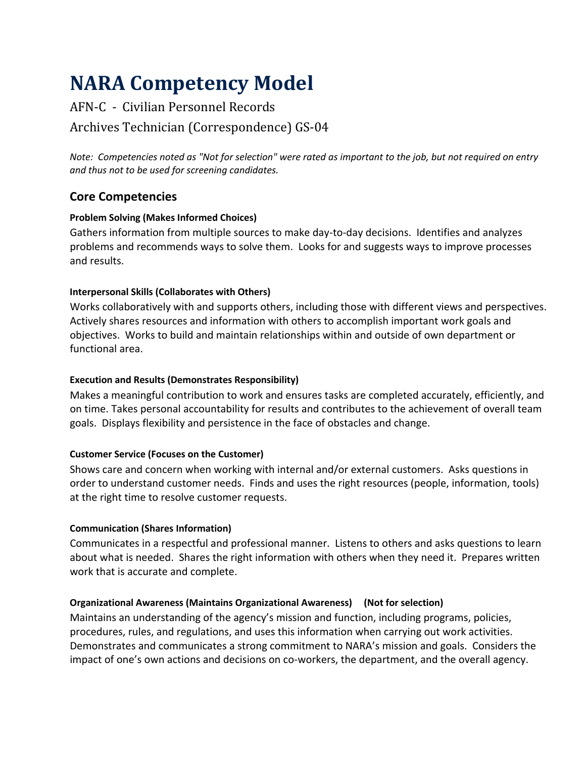# **NARA Competency Model**

## AFN-C - Civilian Personnel Records Archives Technician (Correspondence) GS-04

*Note: Competencies noted as "Not for selection" were rated as important to the job, but not required on entry and thus not to be used for screening candidates.*

## **Core Competencies**

## **Problem Solving (Makes Informed Choices)**

Gathers information from multiple sources to make day-to-day decisions. Identifies and analyzes problems and recommends ways to solve them. Looks for and suggests ways to improve processes and results.

## **Interpersonal Skills (Collaborates with Others)**

Works collaboratively with and supports others, including those with different views and perspectives. Actively shares resources and information with others to accomplish important work goals and objectives. Works to build and maintain relationships within and outside of own department or functional area.

#### **Execution and Results (Demonstrates Responsibility)**

Makes a meaningful contribution to work and ensures tasks are completed accurately, efficiently, and on time. Takes personal accountability for results and contributes to the achievement of overall team goals. Displays flexibility and persistence in the face of obstacles and change.

#### **Customer Service (Focuses on the Customer)**

Shows care and concern when working with internal and/or external customers. Asks questions in order to understand customer needs. Finds and uses the right resources (people, information, tools) at the right time to resolve customer requests.

#### **Communication (Shares Information)**

Communicates in a respectful and professional manner. Listens to others and asks questions to learn about what is needed. Shares the right information with others when they need it. Prepares written work that is accurate and complete.

#### **Organizational Awareness (Maintains Organizational Awareness) (Not for selection)**

Maintains an understanding of the agency's mission and function, including programs, policies, procedures, rules, and regulations, and uses this information when carrying out work activities. Demonstrates and communicates a strong commitment to NARA's mission and goals. Considers the impact of one's own actions and decisions on co-workers, the department, and the overall agency.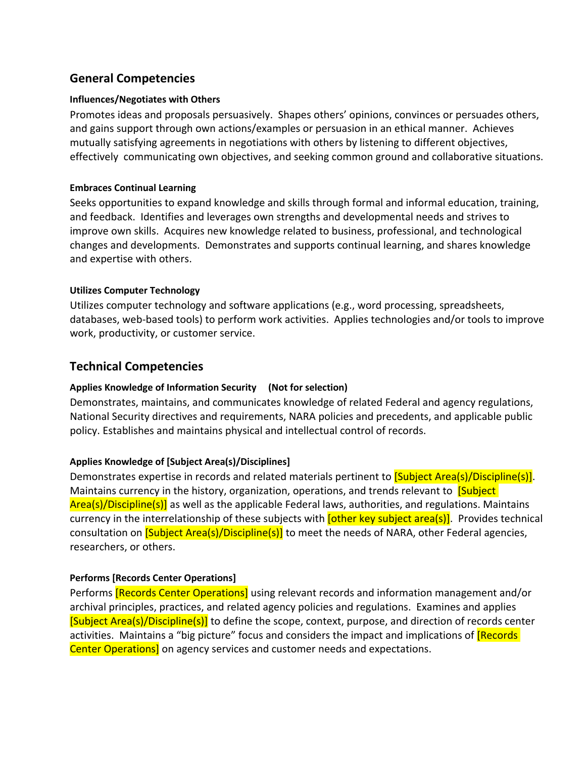## **General Competencies**

#### **Influences/Negotiates with Others**

Promotes ideas and proposals persuasively. Shapes others' opinions, convinces or persuades others, and gains support through own actions/examples or persuasion in an ethical manner. Achieves mutually satisfying agreements in negotiations with others by listening to different objectives, effectively communicating own objectives, and seeking common ground and collaborative situations.

#### **Embraces Continual Learning**

Seeks opportunities to expand knowledge and skills through formal and informal education, training, and feedback. Identifies and leverages own strengths and developmental needs and strives to improve own skills. Acquires new knowledge related to business, professional, and technological changes and developments. Demonstrates and supports continual learning, and shares knowledge and expertise with others.

#### **Utilizes Computer Technology**

Utilizes computer technology and software applications (e.g., word processing, spreadsheets, databases, web-based tools) to perform work activities. Applies technologies and/or tools to improve work, productivity, or customer service.

## **Technical Competencies**

#### **Applies Knowledge of Information Security (Not for selection)**

Demonstrates, maintains, and communicates knowledge of related Federal and agency regulations, National Security directives and requirements, NARA policies and precedents, and applicable public policy. Establishes and maintains physical and intellectual control of records.

#### **Applies Knowledge of [Subject Area(s)/Disciplines]**

Demonstrates expertise in records and related materials pertinent to **[Subject Area(s)/Discipline(s)]**. Maintains currency in the history, organization, operations, and trends relevant to **[Subject**] Area(s)/Discipline(s)] as well as the applicable Federal laws, authorities, and regulations. Maintains currency in the interrelationship of these subjects with **[other key subject area(s)]**. Provides technical consultation on **[Subject Area(s)/Discipline(s)]** to meet the needs of NARA, other Federal agencies, researchers, or others.

#### **Performs [Records Center Operations]**

Performs **[Records Center Operations]** using relevant records and information management and/or archival principles, practices, and related agency policies and regulations. Examines and applies [Subject Area(s)/Discipline(s)] to define the scope, context, purpose, and direction of records center activities. Maintains a "big picture" focus and considers the impact and implications of **[Records**] Center Operations] on agency services and customer needs and expectations.